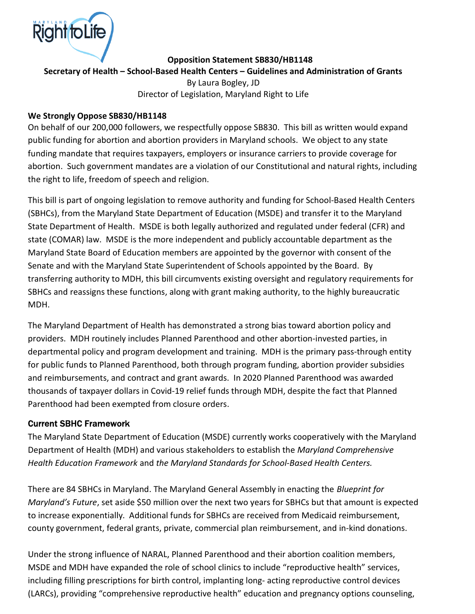

Opposition Statement SB830/HB1148

Secretary of Health – School-Based Health Centers – Guidelines and Administration of Grants

By Laura Bogley, JD Director of Legislation, Maryland Right to Life

#### We Strongly Oppose SB830/HB1148

On behalf of our 200,000 followers, we respectfully oppose SB830. This bill as written would expand public funding for abortion and abortion providers in Maryland schools. We object to any state funding mandate that requires taxpayers, employers or insurance carriers to provide coverage for abortion. Such government mandates are a violation of our Constitutional and natural rights, including the right to life, freedom of speech and religion.

This bill is part of ongoing legislation to remove authority and funding for School-Based Health Centers (SBHCs), from the Maryland State Department of Education (MSDE) and transfer it to the Maryland State Department of Health. MSDE is both legally authorized and regulated under federal (CFR) and state (COMAR) law. MSDE is the more independent and publicly accountable department as the Maryland State Board of Education members are appointed by the governor with consent of the Senate and with the Maryland State Superintendent of Schools appointed by the Board. By transferring authority to MDH, this bill circumvents existing oversight and regulatory requirements for SBHCs and reassigns these functions, along with grant making authority, to the highly bureaucratic MDH.

The Maryland Department of Health has demonstrated a strong bias toward abortion policy and providers. MDH routinely includes Planned Parenthood and other abortion-invested parties, in departmental policy and program development and training. MDH is the primary pass-through entity for public funds to Planned Parenthood, both through program funding, abortion provider subsidies and reimbursements, and contract and grant awards. In 2020 Planned Parenthood was awarded thousands of taxpayer dollars in Covid-19 relief funds through MDH, despite the fact that Planned Parenthood had been exempted from closure orders.

#### Current SBHC Framework

The Maryland State Department of Education (MSDE) currently works cooperatively with the Maryland Department of Health (MDH) and various stakeholders to establish the Maryland Comprehensive Health Education Framework and the Maryland Standards for School-Based Health Centers.

There are 84 SBHCs in Maryland. The Maryland General Assembly in enacting the Blueprint for Maryland's Future, set aside \$50 million over the next two years for SBHCs but that amount is expected to increase exponentially. Additional funds for SBHCs are received from Medicaid reimbursement, county government, federal grants, private, commercial plan reimbursement, and in-kind donations.

Under the strong influence of NARAL, Planned Parenthood and their abortion coalition members, MSDE and MDH have expanded the role of school clinics to include "reproductive health" services, including filling prescriptions for birth control, implanting long- acting reproductive control devices (LARCs), providing "comprehensive reproductive health" education and pregnancy options counseling,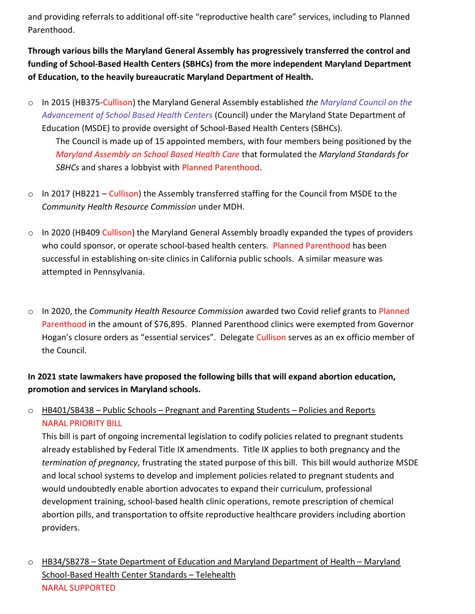and providing referrals to additional off-site "reproductive health care" services, including to Planned Parenthood.

Through various bills the Maryland General Assembly has progressively transferred the control and funding of School-Based Health Centers (SBHCs) from the more independent Maryland Department of Education, to the heavily bureaucratic Maryland Department of Health.

- o In 2015 (HB375-Cullison) the Maryland General Assembly established the Maryland Council on the Advancement of School Based Health Centers (Council) under the Maryland State Department of Education (MSDE) to provide oversight of School-Based Health Centers (SBHCs). The Council is made up of 15 appointed members, with four members being positioned by the Maryland Assembly on School Based Health Care that formulated the Maryland Standards for SBHCs and shares a lobbyist with Planned Parenthood.
- o In 2017 (HB221 Cullison) the Assembly transferred staffing for the Council from MSDE to the Community Health Resource Commission under MDH.
- $\circ$  In 2020 (HB409 Cullison) the Maryland General Assembly broadly expanded the types of providers who could sponsor, or operate school-based health centers. Planned Parenthood has been successful in establishing on-site clinics in California public schools. A similar measure was attempted in Pennsylvania.
- o In 2020, the Community Health Resource Commission awarded two Covid relief grants to Planned Parenthood in the amount of \$76,895. Planned Parenthood clinics were exempted from Governor Hogan's closure orders as "essential services". Delegate Cullison serves as an ex officio member of the Council.

## In 2021 state lawmakers have proposed the following bills that will expand abortion education, promotion and services in Maryland schools.

## $\circ$  HB401/SB438 – Public Schools – Pregnant and Parenting Students – Policies and Reports NARAL PRIORITY BILL

This bill is part of ongoing incremental legislation to codify policies related to pregnant students already established by Federal Title IX amendments. Title IX applies to both pregnancy and the termination of pregnancy, frustrating the stated purpose of this bill. This bill would authorize MSDE and local school systems to develop and implement policies related to pregnant students and would undoubtedly enable abortion advocates to expand their curriculum, professional development training, school-based health clinic operations, remote prescription of chemical abortion pills, and transportation to offsite reproductive healthcare providers including abortion providers.

 $\circ$  HB34/SB278 – State Department of Education and Maryland Department of Health – Maryland School-Based Health Center Standards – Telehealth NARAL SUPPORTED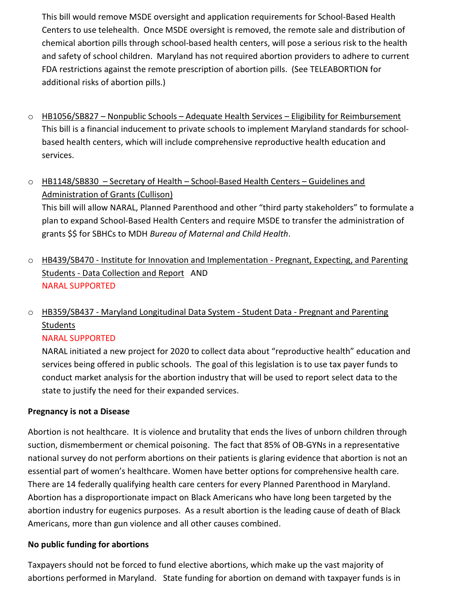This bill would remove MSDE oversight and application requirements for School-Based Health Centers to use telehealth. Once MSDE oversight is removed, the remote sale and distribution of chemical abortion pills through school-based health centers, will pose a serious risk to the health and safety of school children. Maryland has not required abortion providers to adhere to current FDA restrictions against the remote prescription of abortion pills. (See TELEABORTION for additional risks of abortion pills.)

- $\circ$  HB1056/SB827 Nonpublic Schools Adequate Health Services Eligibility for Reimbursement This bill is a financial inducement to private schools to implement Maryland standards for schoolbased health centers, which will include comprehensive reproductive health education and services.
- o HB1148/SB830 Secretary of Health School-Based Health Centers Guidelines and Administration of Grants (Cullison)

This bill will allow NARAL, Planned Parenthood and other "third party stakeholders" to formulate a plan to expand School-Based Health Centers and require MSDE to transfer the administration of grants \$\$ for SBHCs to MDH Bureau of Maternal and Child Health.

o HB439/SB470 - Institute for Innovation and Implementation - Pregnant, Expecting, and Parenting Students - Data Collection and Report AND NARAL SUPPORTED

# o HB359/SB437 - Maryland Longitudinal Data System - Student Data - Pregnant and Parenting Students

#### NARAL SUPPORTED

NARAL initiated a new project for 2020 to collect data about "reproductive health" education and services being offered in public schools. The goal of this legislation is to use tax payer funds to conduct market analysis for the abortion industry that will be used to report select data to the state to justify the need for their expanded services.

## Pregnancy is not a Disease

Abortion is not healthcare. It is violence and brutality that ends the lives of unborn children through suction, dismemberment or chemical poisoning. The fact that 85% of OB-GYNs in a representative national survey do not perform abortions on their patients is glaring evidence that abortion is not an essential part of women's healthcare. Women have better options for comprehensive health care. There are 14 federally qualifying health care centers for every Planned Parenthood in Maryland. Abortion has a disproportionate impact on Black Americans who have long been targeted by the abortion industry for eugenics purposes. As a result abortion is the leading cause of death of Black Americans, more than gun violence and all other causes combined.

#### No public funding for abortions

Taxpayers should not be forced to fund elective abortions, which make up the vast majority of abortions performed in Maryland. State funding for abortion on demand with taxpayer funds is in